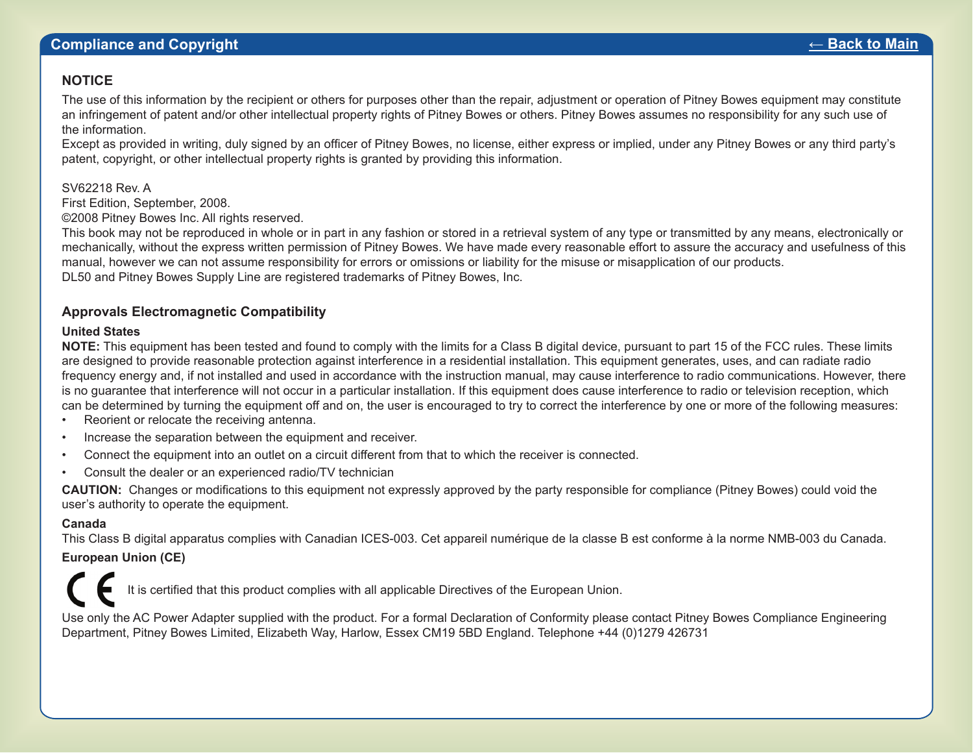### **NOTICE**

The use of this information by the recipient or others for purposes other than the repair, adjustment or operation of Pitney Bowes equipment may constitute an infringement of patent and/or other intellectual property rights of Pitney Bowes or others. Pitney Bowes assumes no responsibility for any such use of the information.

Except as provided in writing, duly signed by an officer of Pitney Bowes, no license, either express or implied, under any Pitney Bowes or any third party's patent, copyright, or other intellectual property rights is granted by providing this information.

### SV62218 Rev. A

First Edition, September, 2008.

©2008 Pitney Bowes Inc. All rights reserved.

This book may not be reproduced in whole or in part in any fashion or stored in a retrieval system of any type or transmitted by any means, electronically or mechanically, without the express written permission of Pitney Bowes. We have made every reasonable effort to assure the accuracy and usefulness of this manual, however we can not assume responsibility for errors or omissions or liability for the misuse or misapplication of our products. DL50 and Pitney Bowes Supply Line are trademarks or registered trademarks of Pitney Bowes, Inc.

### **Approvals Electromagnetic Compatibility**

### **United States**

**NOTE:** This equipment has been tested and found to comply with the limits for a Class B digital device, pursuant to part 15 of the FCC rules. These limits are designed to provide reasonable protection against interference in a residential installation. This equipment generates, uses, and can radiate radio frequency energy and, if not installed and used in accordance with the instruction manual, may cause interference to radio communications. However, there is no guarantee that interference will not occur in a particular installation. If this equipment does cause interference to radio or television reception, which can be determined by turning the equipment off and on, the user is encouraged to try to correct the interference by one or more of the following measures:

- Reorient or relocate the receiving antenna.
- Increase the separation between the equipment and receiver.
- Connect the equipment into an outlet on a circuit different from that to which the receiver is connected.
- Consult the dealer or an experienced radio/TV technician

**CAUTION:** Changes or modifications to this equipment not expressly approved by the party responsible for compliance (Pitney Bowes) could void the user's authority to operate the equipment.

### **Canada**

This Class B digital apparatus complies with Canadian ICES-003. Cet appareil numérique de la classe B est conforme à la norme NMB-003 du Canada.

### **European Union (CE)**

It is certified that this product complies with all applicable Directives of the European Union.

Use only the AC Power Adapter supplied with the product. For a formal Declaration of Conformity please contact Pitney Bowes Compliance Engineering Department, Pitney Bowes Limited, Elizabeth Way, Harlow, Essex CM19 5BD England. Telephone +44 (0)1279 426731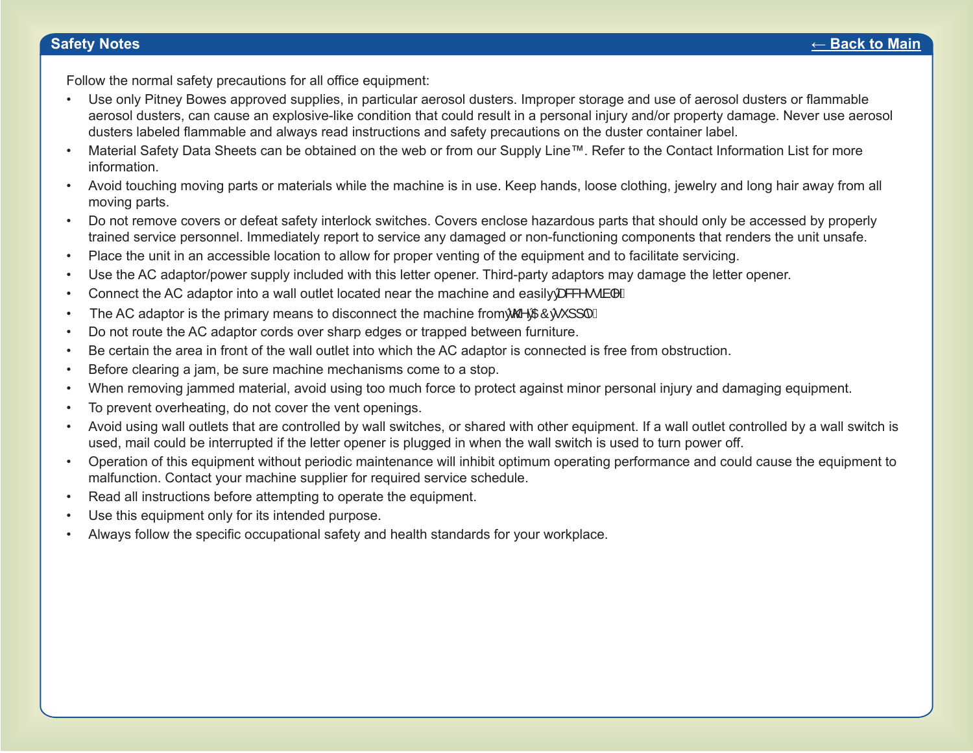Follow the normal safety precautions for all office equipment:

- Use only Pitney Bowes approved supplies, in particular aerosol dusters. Improper storage and use of aerosol dusters or flammable aerosol dusters, can cause an explosive-like condition that could result in a personal injury and/or property damage. Never use aerosol dusters labeled flammable and always read instructions and safety precautions on the duster container label.
- Material Safety Data Sheets can be obtained on the web or from our Supply Line™. Refer to the Contact Information List for more information.
- Avoid touching moving parts or materials while the machine is in use. Keep hands, loose clothing, jewelry and long hair away from all moving parts.
- Do not remove covers or defeat safety interlock switches. Covers enclose hazardous parts that should only be accessed by properly trained service personnel. Immediately report to service any damaged or non-functioning components that renders the unit unsafe.
- Place the unit in an accessible location to allow for proper venting of the equipment and to facilitate servicing.
- Use the AC adaptor/power supply included with this letter opener. Third-party adaptors may damage the letter opener.
- Connect the AC adaptor into a wall outlet located near the machine and easily  $\frac{\partial^2 \mathbf{F}}{\partial \mathbf{F}}$
- The AC adaptor is the primary means to disconnect the machine fromWKH\$&VXSSO\
- Do not route the AC adaptor cords over sharp edges or trapped between furniture.
- Be certain the area in front of the wall outlet into which the AC adaptor is connected is free from obstruction.
- Before clearing a jam, be sure machine mechanisms come to a stop.
- When removing jammed material, avoid using too much force to protect against minor personal injury and damaging equipment.
- To prevent overheating, do not cover the vent openings.
- Avoid using wall outlets that are controlled by wall switches, or shared with other equipment. If a wall outlet controlled by a wall switch is used, mail could be interrupted if the letter opener is plugged in when the wall switch is used to turn power off.
- Operation of this equipment without periodic maintenance will inhibit optimum operating performance and could cause the equipment to malfunction. Contact your machine supplier for required service schedule.
- Read all instructions before attempting to operate the equipment.
- Use this equipment only for its intended purpose.
- Always follow the specific occupational safety and health standards for your workplace.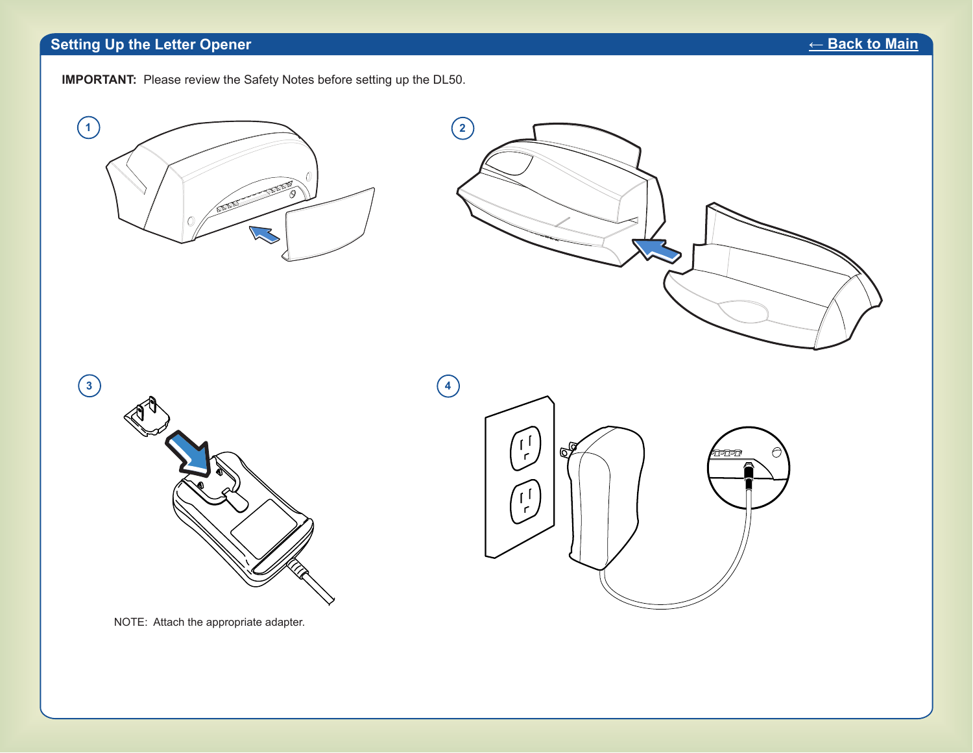# **Setting Up the Letter Opener** *←* **Back to Main**



**IMPORTANT:** Please review the Safety Notes before setting up the DL50.









NOTE: Attach the appropriate adapter.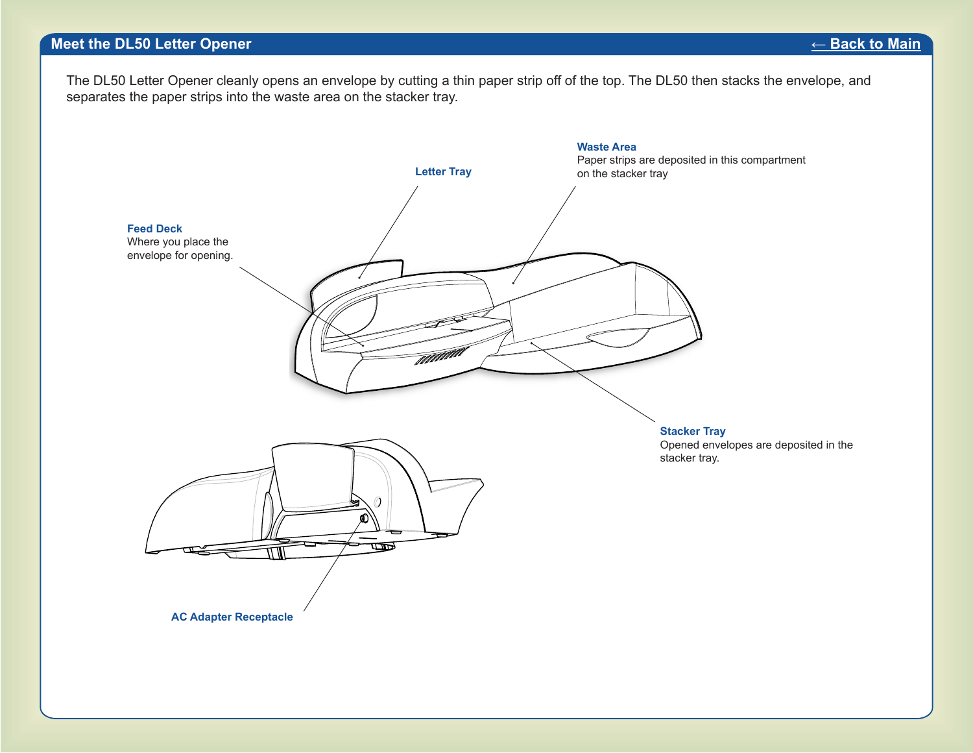### **Meet the DL50 Letter Opener** *←* **Back to Main**

The DL50 Letter Opener cleanly opens an envelope by cutting a thin paper strip off of the top. The DL50 then stacks the envelope, and separates the paper strips into the waste area on the stacker tray.

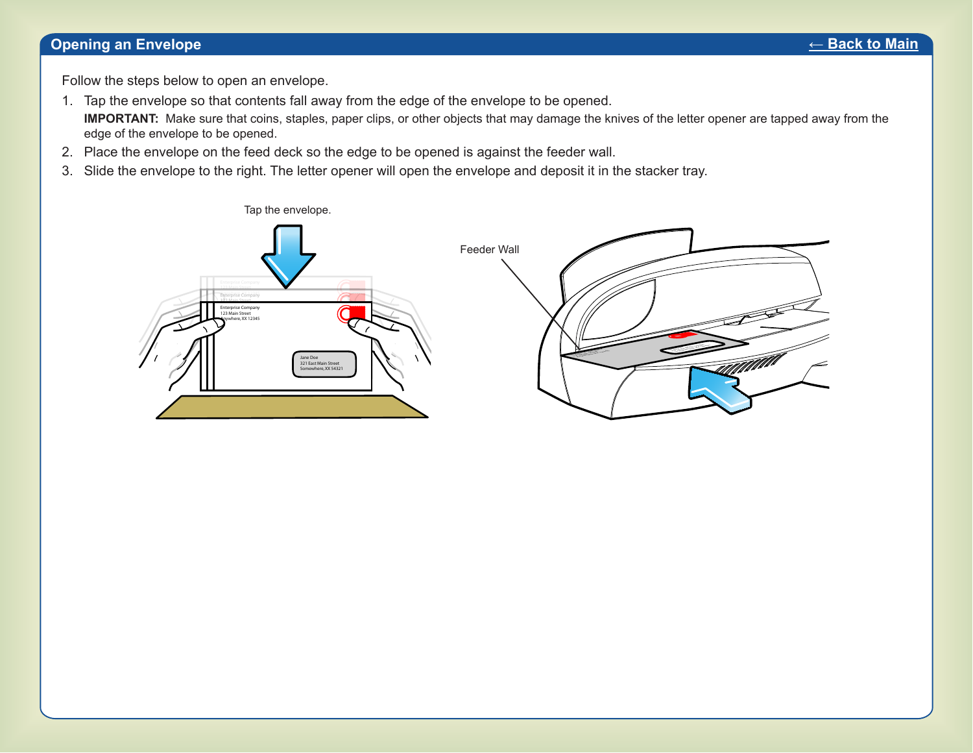### **Opening an Envelope** *←* **Back to Main**

Follow the steps below to open an envelope.

- 1. Tap the envelope so that contents fall away from the edge of the envelope to be opened. **IMPORTANT:** Make sure that coins, staples, paper clips, or other objects that may damage the knives of the letter opener are tapped away from the edge of the envelope to be opened.
- 2. Place the envelope on the feed deck so the edge to be opened is against the feeder wall.
- 3. Slide the envelope to the right. The letter opener will open the envelope and deposit it in the stacker tray.

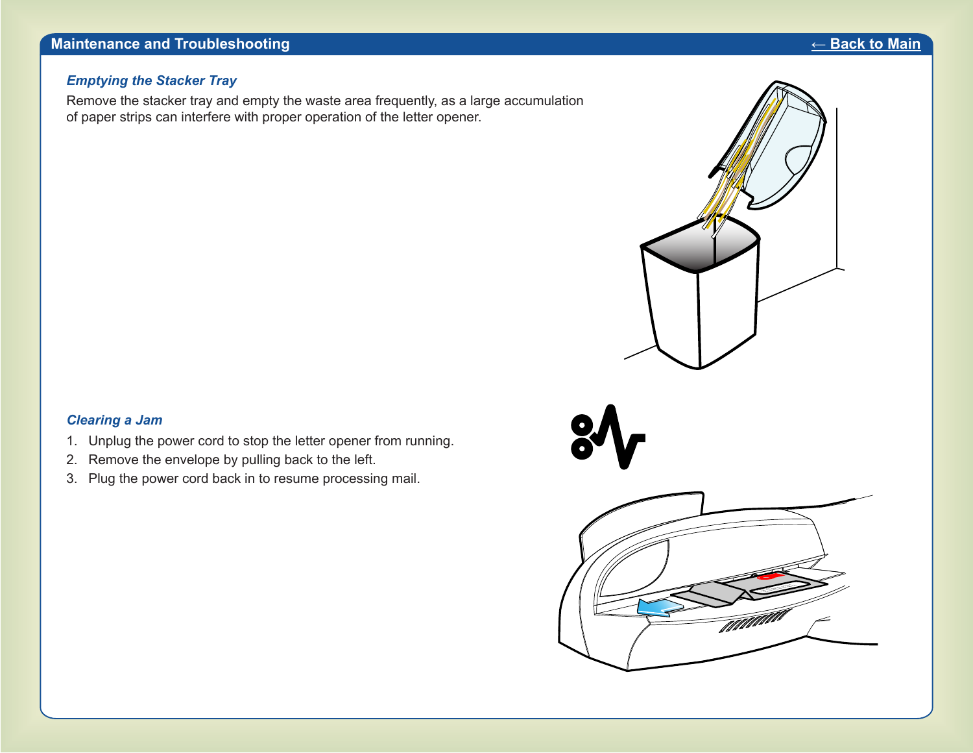### *Emptying the Stacker Tray*

Remove the stacker tray and empty the waste area frequently, as a large accumulation of paper strips can interfere with proper operation of the letter opener.

### *Clearing a Jam*

- 1. Unplug the power cord to stop the letter opener from running.
- 2. Remove the envelope by pulling back to the left.
- 3. Plug the power cord back in to resume processing mail.

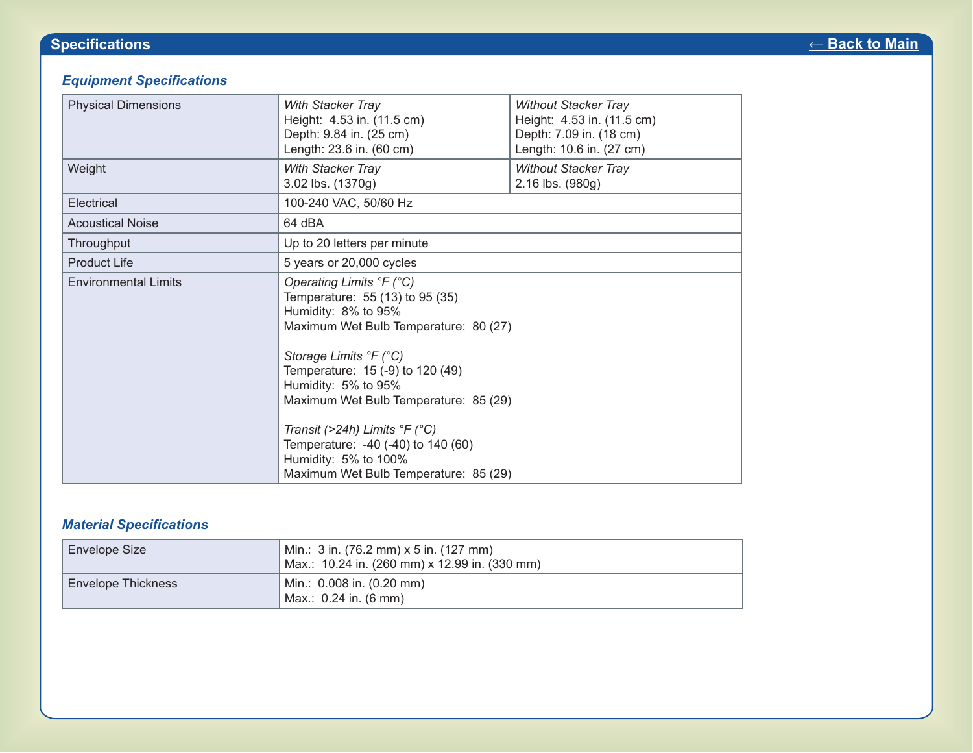# *Equipment Specifications*

| <b>Physical Dimensions</b>  | <b>With Stacker Tray</b><br>Height: 4.53 in. (11.5 cm)<br>Depth: 9.84 in. (25 cm)<br>Length: 23.6 in. (60 cm)                                                                                                                                                                                                                                                                                                        | <b>Without Stacker Tray</b><br>Height: 4.53 in. (11.5 cm)<br>Depth: 7.09 in. (18 cm)<br>Length: 10.6 in. (27 cm) |
|-----------------------------|----------------------------------------------------------------------------------------------------------------------------------------------------------------------------------------------------------------------------------------------------------------------------------------------------------------------------------------------------------------------------------------------------------------------|------------------------------------------------------------------------------------------------------------------|
| Weight                      | With Stacker Tray<br>3.02 lbs. (1370g)                                                                                                                                                                                                                                                                                                                                                                               | <b>Without Stacker Tray</b><br>2.16 lbs. (980g)                                                                  |
| Electrical                  | 100-240 VAC, 50/60 Hz                                                                                                                                                                                                                                                                                                                                                                                                |                                                                                                                  |
| <b>Acoustical Noise</b>     | 64 dBA                                                                                                                                                                                                                                                                                                                                                                                                               |                                                                                                                  |
| Throughput                  | Up to 20 letters per minute                                                                                                                                                                                                                                                                                                                                                                                          |                                                                                                                  |
| <b>Product Life</b>         | 5 years or 20,000 cycles                                                                                                                                                                                                                                                                                                                                                                                             |                                                                                                                  |
| <b>Environmental Limits</b> | Operating Limits °F (°C)<br>Temperature: 55 (13) to 95 (35)<br>Humidity: 8% to 95%<br>Maximum Wet Bulb Temperature: 80 (27)<br>Storage Limits °F (°C)<br>Temperature: 15 (-9) to 120 (49)<br>Humidity: 5% to 95%<br>Maximum Wet Bulb Temperature: 85 (29)<br>Transit (>24h) Limits $\degree$ F ( $\degree$ C)<br>Temperature: -40 (-40) to 140 (60)<br>Humidity: 5% to 100%<br>Maximum Wet Bulb Temperature: 85 (29) |                                                                                                                  |

# *Material Specifications*

| Envelope Size             | Min.: 3 in. (76.2 mm) x 5 in. (127 mm)<br>  Max.: 10.24 in. (260 mm) x 12.99 in. (330 mm) |
|---------------------------|-------------------------------------------------------------------------------------------|
| <b>Envelope Thickness</b> | Min.: 0.008 in. (0.20 mm)<br>Max.: 0.24 in. (6 mm)                                        |